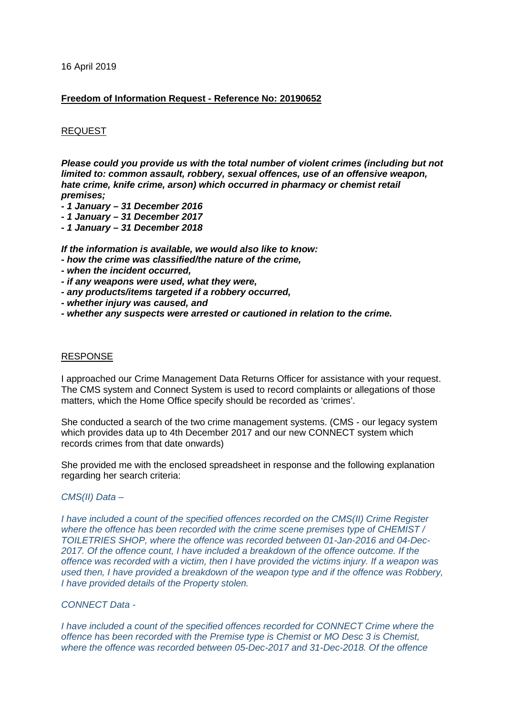16 April 2019

## **Freedom of Information Request - Reference No: 20190652**

## REQUEST

*Please could you provide us with the total number of violent crimes (including but not limited to: common assault, robbery, sexual offences, use of an offensive weapon, hate crime, knife crime, arson) which occurred in pharmacy or chemist retail premises;* 

- *- 1 January – 31 December 2016*
- *- 1 January – 31 December 2017*
- *- 1 January – 31 December 2018*

*If the information is available, we would also like to know:* 

- *- how the crime was classified/the nature of the crime,*
- *- when the incident occurred,*
- *- if any weapons were used, what they were,*
- *- any products/items targeted if a robbery occurred,*
- *- whether injury was caused, and*
- *- whether any suspects were arrested or cautioned in relation to the crime.*

#### RESPONSE

I approached our Crime Management Data Returns Officer for assistance with your request. The CMS system and Connect System is used to record complaints or allegations of those matters, which the Home Office specify should be recorded as 'crimes'.

She conducted a search of the two crime management systems. (CMS - our legacy system which provides data up to 4th December 2017 and our new CONNECT system which records crimes from that date onwards)

She provided me with the enclosed spreadsheet in response and the following explanation regarding her search criteria:

## *CMS(II) Data –*

*I have included a count of the specified offences recorded on the CMS(II) Crime Register where the offence has been recorded with the crime scene premises type of CHEMIST / TOILETRIES SHOP, where the offence was recorded between 01-Jan-2016 and 04-Dec-2017. Of the offence count, I have included a breakdown of the offence outcome. If the offence was recorded with a victim, then I have provided the victims injury. If a weapon was used then, I have provided a breakdown of the weapon type and if the offence was Robbery, I have provided details of the Property stolen.*

# *CONNECT Data -*

*I have included a count of the specified offences recorded for CONNECT Crime where the offence has been recorded with the Premise type is Chemist or MO Desc 3 is Chemist, where the offence was recorded between 05-Dec-2017 and 31-Dec-2018. Of the offence*